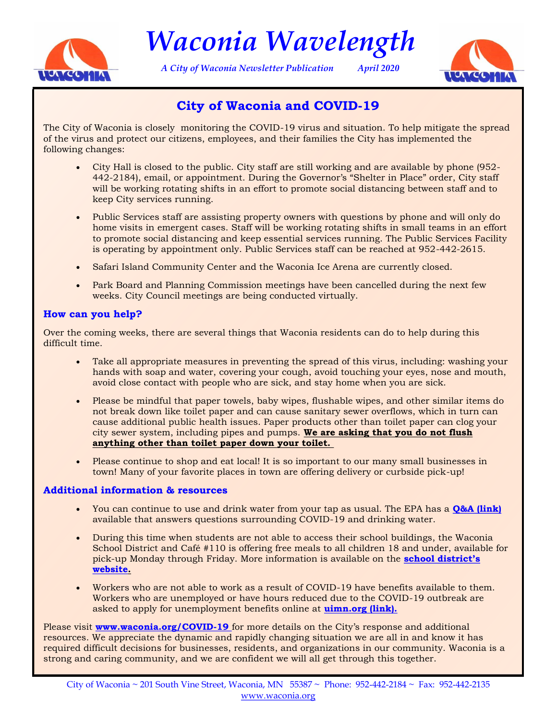

*Waconia Wavelength*

*A City of Waconia Newsletter Publication April 2020*



## **City of Waconia and COVID-19**

The City of Waconia is closely monitoring the COVID-19 virus and situation. To help mitigate the spread of the virus and protect our citizens, employees, and their families the City has implemented the following changes:

- City Hall is closed to the public. City staff are still working and are available by phone (952- 442-2184), email, or appointment. During the Governor's "Shelter in Place" order, City staff will be working rotating shifts in an effort to promote social distancing between staff and to keep City services running.
- Public Services staff are assisting property owners with questions by phone and will only do home visits in emergent cases. Staff will be working rotating shifts in small teams in an effort to promote social distancing and keep essential services running. The Public Services Facility is operating by appointment only. Public Services staff can be reached at 952-442-2615.
- Safari Island Community Center and the Waconia Ice Arena are currently closed.
- Park Board and Planning Commission meetings have been cancelled during the next few weeks. City Council meetings are being conducted virtually.

#### **How can you help?**

Over the coming weeks, there are several things that Waconia residents can do to help during this difficult time.

- Take all appropriate measures in preventing the spread of this virus, including: washing your hands with soap and water, covering your cough, avoid touching your eyes, nose and mouth, avoid close contact with people who are sick, and stay home when you are sick.
- Please be mindful that paper towels, baby wipes, flushable wipes, and other similar items do not break down like toilet paper and can cause sanitary sewer overflows, which in turn can cause additional public health issues. Paper products other than toilet paper can clog your city sewer system, including pipes and pumps. **We are asking that you do not flush anything other than toilet paper down your toilet.**
- Please continue to shop and eat local! It is so important to our many small businesses in town! Many of your favorite places in town are offering delivery or curbside pick-up!

#### **Additional information & resources**

- You can continue to use and drink water from your tap as usual. The EPA has a **[Q&A \(link\)](https://www.epa.gov/coronavirus/coronavirus-and-drinking-water-and-wastewater)**  available that answers questions surrounding COVID-19 and drinking water.
- During this time when students are not able to access their school buildings, the Waconia School District and Café #110 is offering free meals to all children 18 and under, available for [pick-up Monday through Friday. More information is available on the](https://www.isd110.org/about-us/superintendent-communications/covid-19-information/cafe-110-meal-program) **school district's website.**
- Workers who are not able to work as a result of COVID-19 have benefits available to them. Workers who are unemployed or have hours reduced due to the COVID-19 outbreak are asked to apply for unemployment benefits online at **[uimn.org \(link\).](https://www.uimn.org/)**

Please visit **[www.waconia.org/COVID-19](http://waconia.org/CivicAlerts.aspx?AID=184)** for more details on the City's response and additional resources. We appreciate the dynamic and rapidly changing situation we are all in and know it has required difficult decisions for businesses, residents, and organizations in our community. Waconia is a strong and caring community, and we are confident we will all get through this together.